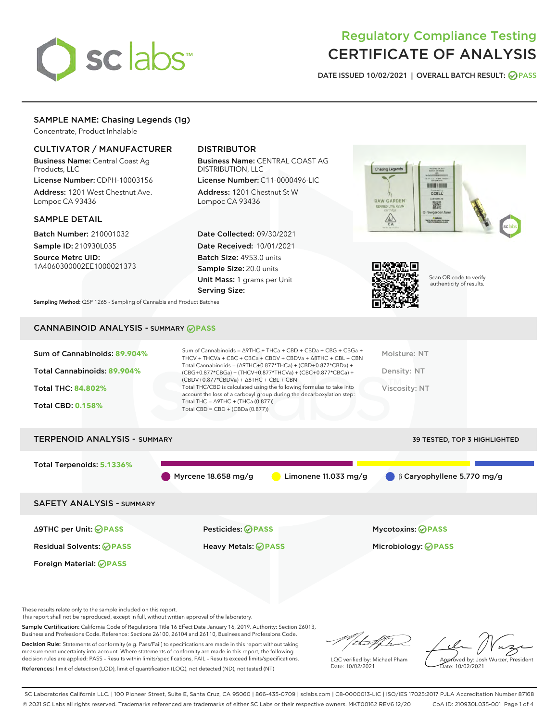# sclabs<sup>\*</sup>

# Regulatory Compliance Testing CERTIFICATE OF ANALYSIS

DATE ISSUED 10/02/2021 | OVERALL BATCH RESULT: @ PASS

# SAMPLE NAME: Chasing Legends (1g)

Concentrate, Product Inhalable

# CULTIVATOR / MANUFACTURER

Business Name: Central Coast Ag Products, LLC

License Number: CDPH-10003156 Address: 1201 West Chestnut Ave. Lompoc CA 93436

#### SAMPLE DETAIL

Batch Number: 210001032 Sample ID: 210930L035

Source Metrc UID: 1A4060300002EE1000021373

# DISTRIBUTOR

Business Name: CENTRAL COAST AG DISTRIBUTION, LLC

License Number: C11-0000496-LIC Address: 1201 Chestnut St W Lompoc CA 93436

Date Collected: 09/30/2021 Date Received: 10/01/2021 Batch Size: 4953.0 units Sample Size: 20.0 units Unit Mass: 1 grams per Unit Serving Size:





Scan QR code to verify authenticity of results.

Sampling Method: QSP 1265 - Sampling of Cannabis and Product Batches

# CANNABINOID ANALYSIS - SUMMARY **PASS**

| Sum of Cannabinoids: 89.904%<br>Total Cannabinoids: 89.904%<br><b>Total THC: 84.802%</b><br><b>Total CBD: 0.158%</b> | Sum of Cannabinoids = $\triangle$ 9THC + THCa + CBD + CBDa + CBG + CBGa +<br>THCV + THCVa + CBC + CBCa + CBDV + CBDVa + $\triangle$ 8THC + CBL + CBN<br>Total Cannabinoids = $(\Delta$ 9THC+0.877*THCa) + (CBD+0.877*CBDa) +<br>(CBG+0.877*CBGa) + (THCV+0.877*THCVa) + (CBC+0.877*CBCa) +<br>$(CBDV+0.877*CBDVa) + \Delta 8THC + CBL + CBN$<br>Total THC/CBD is calculated using the following formulas to take into<br>account the loss of a carboxyl group during the decarboxylation step:<br>Total THC = $\triangle$ 9THC + (THCa (0.877))<br>Total CBD = $CBD + (CBDa (0.877))$ | Moisture: NT<br>Density: NT<br>Viscosity: NT           |
|----------------------------------------------------------------------------------------------------------------------|---------------------------------------------------------------------------------------------------------------------------------------------------------------------------------------------------------------------------------------------------------------------------------------------------------------------------------------------------------------------------------------------------------------------------------------------------------------------------------------------------------------------------------------------------------------------------------------|--------------------------------------------------------|
| <b>TERPENOID ANALYSIS - SUMMARY</b>                                                                                  |                                                                                                                                                                                                                                                                                                                                                                                                                                                                                                                                                                                       | <b>39 TESTED, TOP 3 HIGHLIGHTED</b>                    |
| Total Terpenoids: 5.1336%                                                                                            | Myrcene 18.658 mg/g<br>Limonene $11.033$ mg/g                                                                                                                                                                                                                                                                                                                                                                                                                                                                                                                                         | $\bigcirc$ $\beta$ Caryophyllene 5.770 mg/g            |
| <b>SAFETY ANALYSIS - SUMMARY</b>                                                                                     |                                                                                                                                                                                                                                                                                                                                                                                                                                                                                                                                                                                       |                                                        |
| $\triangle$ 9THC per Unit: $\oslash$ PASS<br><b>Residual Solvents: ⊘PASS</b>                                         | <b>Pesticides: ⊘PASS</b><br>Heavy Metals: <b>OPASS</b>                                                                                                                                                                                                                                                                                                                                                                                                                                                                                                                                | <b>Mycotoxins: ⊘PASS</b><br>Microbiology: <b>⊘PASS</b> |

These results relate only to the sample included on this report.

Foreign Material: **PASS**

This report shall not be reproduced, except in full, without written approval of the laboratory.

Sample Certification: California Code of Regulations Title 16 Effect Date January 16, 2019. Authority: Section 26013, Business and Professions Code. Reference: Sections 26100, 26104 and 26110, Business and Professions Code.

Decision Rule: Statements of conformity (e.g. Pass/Fail) to specifications are made in this report without taking measurement uncertainty into account. Where statements of conformity are made in this report, the following decision rules are applied: PASS – Results within limits/specifications, FAIL – Results exceed limits/specifications. References: limit of detection (LOD), limit of quantification (LOQ), not detected (ND), not tested (NT)

/ that for

LQC verified by: Michael Pham Date: 10/02/2021

Approved by: Josh Wurzer, President Date: 10/02/2021

SC Laboratories California LLC. | 100 Pioneer Street, Suite E, Santa Cruz, CA 95060 | 866-435-0709 | sclabs.com | C8-0000013-LIC | ISO/IES 17025:2017 PJLA Accreditation Number 87168 © 2021 SC Labs all rights reserved. Trademarks referenced are trademarks of either SC Labs or their respective owners. MKT00162 REV6 12/20 CoA ID: 210930L035-001 Page 1 of 4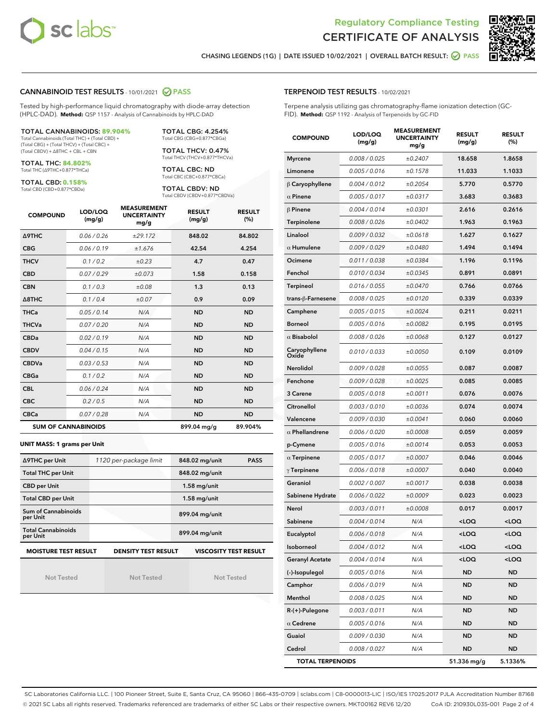



CHASING LEGENDS (1G) | DATE ISSUED 10/02/2021 | OVERALL BATCH RESULT: 2 PASS

#### CANNABINOID TEST RESULTS - 10/01/2021 2 PASS

Tested by high-performance liquid chromatography with diode-array detection (HPLC-DAD). **Method:** QSP 1157 - Analysis of Cannabinoids by HPLC-DAD

#### TOTAL CANNABINOIDS: **89.904%**

Total Cannabinoids (Total THC) + (Total CBD) + (Total CBG) + (Total THCV) + (Total CBC) + (Total CBDV) + ∆8THC + CBL + CBN

TOTAL THC: **84.802%** Total THC (∆9THC+0.877\*THCa)

TOTAL CBD: **0.158%** Total CBD (CBD+0.877\*CBDa)

TOTAL CBG: 4.254% Total CBG (CBG+0.877\*CBGa)

TOTAL THCV: 0.47% Total THCV (THCV+0.877\*THCVa)

TOTAL CBC: ND Total CBC (CBC+0.877\*CBCa)

TOTAL CBDV: ND Total CBDV (CBDV+0.877\*CBDVa)

| <b>COMPOUND</b>  | LOD/LOQ<br>(mg/g)          | <b>MEASUREMENT</b><br><b>UNCERTAINTY</b><br>mg/g | <b>RESULT</b><br>(mg/g) | <b>RESULT</b><br>(%) |
|------------------|----------------------------|--------------------------------------------------|-------------------------|----------------------|
| <b>A9THC</b>     | 0.06 / 0.26                | ±29.172                                          | 848.02                  | 84.802               |
| <b>CBG</b>       | 0.06/0.19                  | ±1.676                                           | 42.54                   | 4.254                |
| <b>THCV</b>      | 0.1 / 0.2                  | $\pm 0.23$                                       | 4.7                     | 0.47                 |
| <b>CBD</b>       | 0.07/0.29                  | ±0.073                                           | 1.58                    | 0.158                |
| <b>CBN</b>       | 0.1 / 0.3                  | ±0.08                                            | 1.3                     | 0.13                 |
| $\triangle$ 8THC | 0.1 / 0.4                  | ±0.07                                            | 0.9                     | 0.09                 |
| THCa             | 0.05/0.14                  | N/A                                              | <b>ND</b>               | <b>ND</b>            |
| <b>THCVa</b>     | 0.07/0.20                  | N/A                                              | <b>ND</b>               | <b>ND</b>            |
| <b>CBDa</b>      | 0.02/0.19                  | N/A                                              | <b>ND</b>               | <b>ND</b>            |
| <b>CBDV</b>      | 0.04 / 0.15                | N/A                                              | <b>ND</b>               | <b>ND</b>            |
| <b>CBDVa</b>     | 0.03/0.53                  | N/A                                              | <b>ND</b>               | <b>ND</b>            |
| <b>CBGa</b>      | 0.1/0.2                    | N/A                                              | <b>ND</b>               | <b>ND</b>            |
| <b>CBL</b>       | 0.06 / 0.24                | N/A                                              | <b>ND</b>               | <b>ND</b>            |
| <b>CBC</b>       | 0.2 / 0.5                  | N/A                                              | <b>ND</b>               | <b>ND</b>            |
| <b>CBCa</b>      | 0.07/0.28                  | N/A                                              | <b>ND</b>               | <b>ND</b>            |
|                  | <b>SUM OF CANNABINOIDS</b> |                                                  | 899.04 mg/g             | 89.904%              |

#### **UNIT MASS: 1 grams per Unit**

| ∆9THC per Unit                        | 1120 per-package limit     | 848.02 mg/unit<br><b>PASS</b> |
|---------------------------------------|----------------------------|-------------------------------|
| <b>Total THC per Unit</b>             |                            | 848.02 mg/unit                |
| <b>CBD per Unit</b>                   |                            | $1.58$ mg/unit                |
| <b>Total CBD per Unit</b>             |                            | $1.58$ mg/unit                |
| Sum of Cannabinoids<br>per Unit       |                            | 899.04 mg/unit                |
| <b>Total Cannabinoids</b><br>per Unit |                            | 899.04 mg/unit                |
| <b>MOISTURE TEST RESULT</b>           | <b>DENSITY TEST RESULT</b> | <b>VISCOSITY TEST RESULT</b>  |

Not Tested

Not Tested

Not Tested

| <b>TERPENOID TEST RESULTS - 10/02/2021</b> |
|--------------------------------------------|
|--------------------------------------------|

Terpene analysis utilizing gas chromatography-flame ionization detection (GC-FID). **Method:** QSP 1192 - Analysis of Terpenoids by GC-FID

| <b>COMPOUND</b>         | LOD/LOQ<br>(mg/g) | <b>MEASUREMENT</b><br><b>UNCERTAINTY</b><br>mg/g | <b>RESULT</b><br>(mg/g)                         | <b>RESULT</b><br>$(\%)$ |
|-------------------------|-------------------|--------------------------------------------------|-------------------------------------------------|-------------------------|
| <b>Myrcene</b>          | 0.008 / 0.025     | ±0.2407                                          | 18.658                                          | 1.8658                  |
| Limonene                | 0.005 / 0.016     | ±0.1578                                          | 11.033                                          | 1.1033                  |
| $\upbeta$ Caryophyllene | 0.004 / 0.012     | ±0.2054                                          | 5.770                                           | 0.5770                  |
| $\alpha$ Pinene         | 0.005 / 0.017     | ±0.0317                                          | 3.683                                           | 0.3683                  |
| $\beta$ Pinene          | 0.004 / 0.014     | ±0.0301                                          | 2.616                                           | 0.2616                  |
| Terpinolene             | 0.008 / 0.026     | ±0.0402                                          | 1.963                                           | 0.1963                  |
| Linalool                | 0.009 / 0.032     | ±0.0618                                          | 1.627                                           | 0.1627                  |
| $\alpha$ Humulene       | 0.009/0.029       | ±0.0480                                          | 1.494                                           | 0.1494                  |
| Ocimene                 | 0.011 / 0.038     | ±0.0384                                          | 1.196                                           | 0.1196                  |
| Fenchol                 | 0.010 / 0.034     | ±0.0345                                          | 0.891                                           | 0.0891                  |
| <b>Terpineol</b>        | 0.016 / 0.055     | ±0.0470                                          | 0.766                                           | 0.0766                  |
| trans-β-Farnesene       | 0.008 / 0.025     | ±0.0120                                          | 0.339                                           | 0.0339                  |
| Camphene                | 0.005 / 0.015     | ±0.0024                                          | 0.211                                           | 0.0211                  |
| <b>Borneol</b>          | 0.005 / 0.016     | ±0.0082                                          | 0.195                                           | 0.0195                  |
| $\alpha$ Bisabolol      | 0.008 / 0.026     | ±0.0068                                          | 0.127                                           | 0.0127                  |
| Caryophyllene<br>Oxide  | 0.010 / 0.033     | ±0.0050                                          | 0.109                                           | 0.0109                  |
| <b>Nerolidol</b>        | 0.009 / 0.028     | ±0.0055                                          | 0.087                                           | 0.0087                  |
| Fenchone                | 0.009 / 0.028     | ±0.0025                                          | 0.085                                           | 0.0085                  |
| 3 Carene                | 0.005 / 0.018     | ±0.0011                                          | 0.076                                           | 0.0076                  |
| Citronellol             | 0.003 / 0.010     | ±0.0036                                          | 0.074                                           | 0.0074                  |
| Valencene               | 0.009 / 0.030     | ±0.0041                                          | 0.060                                           | 0.0060                  |
| $\alpha$ Phellandrene   | 0.006 / 0.020     | ±0.0008                                          | 0.059                                           | 0.0059                  |
| p-Cymene                | 0.005 / 0.016     | ±0.0014                                          | 0.053                                           | 0.0053                  |
| $\alpha$ Terpinene      | 0.005 / 0.017     | ±0.0007                                          | 0.046                                           | 0.0046                  |
| $\gamma$ Terpinene      | 0.006 / 0.018     | ±0.0007                                          | 0.040                                           | 0.0040                  |
| Geraniol                | 0.002 / 0.007     | ±0.0017                                          | 0.038                                           | 0.0038                  |
| Sabinene Hydrate        | 0.006 / 0.022     | ±0.0009                                          | 0.023                                           | 0.0023                  |
| Nerol                   | 0.003 / 0.011     | ±0.0008                                          | 0.017                                           | 0.0017                  |
| Sabinene                | 0.004 / 0.014     | N/A                                              | <loq< th=""><th><loq< th=""></loq<></th></loq<> | <loq< th=""></loq<>     |
| Eucalyptol              | 0.006 / 0.018     | N/A                                              | <loq< th=""><th><loq< th=""></loq<></th></loq<> | <loq< th=""></loq<>     |
| Isoborneol              | 0.004 / 0.012     | N/A                                              | <loq< th=""><th><loq< th=""></loq<></th></loq<> | <loq< th=""></loq<>     |
| <b>Geranyl Acetate</b>  | 0.004 / 0.014     | N/A                                              | <loq< th=""><th><loq< th=""></loq<></th></loq<> | <loq< th=""></loq<>     |
| (-)-Isopulegol          | 0.005 / 0.016     | N/A                                              | <b>ND</b>                                       | <b>ND</b>               |
| Camphor                 | 0.006 / 0.019     | N/A                                              | ND                                              | ND                      |
| Menthol                 | 0.008 / 0.025     | N/A                                              | ND                                              | ND                      |
| R-(+)-Pulegone          | 0.003 / 0.011     | N/A                                              | ND                                              | <b>ND</b>               |
| $\alpha$ Cedrene        | 0.005 / 0.016     | N/A                                              | ND                                              | ND                      |
| Guaiol                  | 0.009 / 0.030     | N/A                                              | ND                                              | <b>ND</b>               |
| Cedrol                  | 0.008 / 0.027     | N/A                                              | ND                                              | <b>ND</b>               |
| <b>TOTAL TERPENOIDS</b> |                   |                                                  | 51.336 mg/g                                     | 5.1336%                 |

SC Laboratories California LLC. | 100 Pioneer Street, Suite E, Santa Cruz, CA 95060 | 866-435-0709 | sclabs.com | C8-0000013-LIC | ISO/IES 17025:2017 PJLA Accreditation Number 87168 © 2021 SC Labs all rights reserved. Trademarks referenced are trademarks of either SC Labs or their respective owners. MKT00162 REV6 12/20 CoA ID: 210930L035-001 Page 2 of 4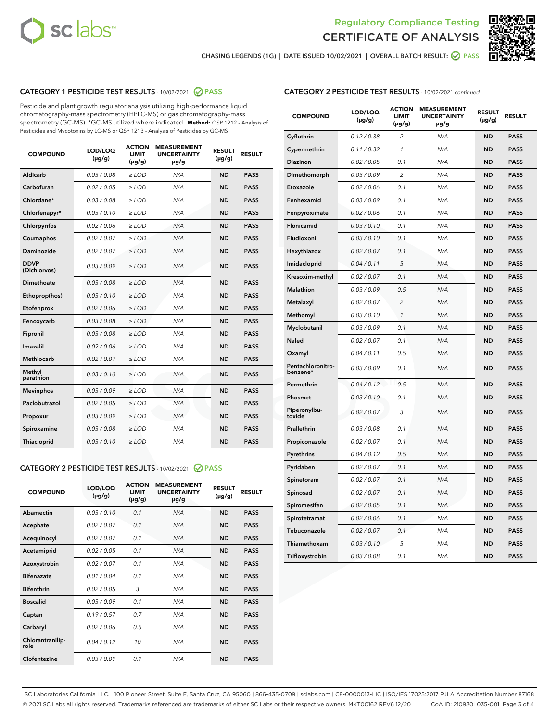



CHASING LEGENDS (1G) | DATE ISSUED 10/02/2021 | OVERALL BATCH RESULT: ☑ PASS

# CATEGORY 1 PESTICIDE TEST RESULTS - 10/02/2021 2 PASS

Pesticide and plant growth regulator analysis utilizing high-performance liquid chromatography-mass spectrometry (HPLC-MS) or gas chromatography-mass spectrometry (GC-MS). \*GC-MS utilized where indicated. **Method:** QSP 1212 - Analysis of Pesticides and Mycotoxins by LC-MS or QSP 1213 - Analysis of Pesticides by GC-MS

| <b>Aldicarb</b><br>0.03 / 0.08<br><b>ND</b><br>$\ge$ LOD<br>N/A<br><b>PASS</b><br>Carbofuran<br>0.02/0.05<br>$\ge$ LOD<br>N/A<br><b>ND</b><br><b>PASS</b><br>Chlordane*<br>0.03 / 0.08<br><b>ND</b><br>$>$ LOD<br>N/A<br><b>PASS</b><br>0.03/0.10<br><b>ND</b><br><b>PASS</b><br>Chlorfenapyr*<br>$\ge$ LOD<br>N/A<br>0.02 / 0.06<br>N/A<br><b>ND</b><br><b>PASS</b><br>Chlorpyrifos<br>$\ge$ LOD<br>0.02 / 0.07<br>N/A<br><b>ND</b><br><b>PASS</b><br>Coumaphos<br>$>$ LOD<br>Daminozide<br>0.02 / 0.07<br>$\ge$ LOD<br>N/A<br><b>ND</b><br><b>PASS</b><br><b>DDVP</b><br>0.03/0.09<br>$\ge$ LOD<br>N/A<br><b>ND</b><br><b>PASS</b><br>(Dichlorvos)<br>Dimethoate<br><b>ND</b><br><b>PASS</b><br>0.03 / 0.08<br>$>$ LOD<br>N/A<br>0.03/0.10<br>Ethoprop(hos)<br>$\ge$ LOD<br>N/A<br><b>ND</b><br><b>PASS</b><br>0.02/0.06<br>$\ge$ LOD<br>N/A<br><b>ND</b><br><b>PASS</b><br>Etofenprox<br>Fenoxycarb<br>0.03 / 0.08<br>$>$ LOD<br>N/A<br><b>ND</b><br><b>PASS</b><br>0.03 / 0.08<br><b>ND</b><br><b>PASS</b><br>Fipronil<br>$\ge$ LOD<br>N/A<br>Imazalil<br>0.02 / 0.06<br>$>$ LOD<br>N/A<br><b>ND</b><br><b>PASS</b><br>0.02 / 0.07<br>Methiocarb<br>N/A<br><b>ND</b><br>$>$ LOD<br><b>PASS</b><br>Methyl<br>0.03/0.10<br>$\ge$ LOD<br>N/A<br><b>ND</b><br><b>PASS</b><br>parathion<br>0.03/0.09<br>$\ge$ LOD<br>N/A<br><b>ND</b><br><b>PASS</b><br><b>Mevinphos</b><br>Paclobutrazol<br>0.02 / 0.05<br>$\ge$ LOD<br>N/A<br><b>ND</b><br><b>PASS</b><br>0.03/0.09<br>N/A<br>$\ge$ LOD<br><b>ND</b><br><b>PASS</b><br>Propoxur<br>0.03 / 0.08<br><b>ND</b><br><b>PASS</b><br>Spiroxamine<br>$\ge$ LOD<br>N/A<br><b>PASS</b><br>Thiacloprid<br>0.03/0.10<br>$\ge$ LOD<br>N/A<br><b>ND</b> | <b>COMPOUND</b> | LOD/LOQ<br>$(\mu g/g)$ | <b>ACTION</b><br>LIMIT<br>$(\mu g/g)$ | <b>MEASUREMENT</b><br><b>UNCERTAINTY</b><br>$\mu$ g/g | <b>RESULT</b><br>$(\mu g/g)$ | <b>RESULT</b> |
|--------------------------------------------------------------------------------------------------------------------------------------------------------------------------------------------------------------------------------------------------------------------------------------------------------------------------------------------------------------------------------------------------------------------------------------------------------------------------------------------------------------------------------------------------------------------------------------------------------------------------------------------------------------------------------------------------------------------------------------------------------------------------------------------------------------------------------------------------------------------------------------------------------------------------------------------------------------------------------------------------------------------------------------------------------------------------------------------------------------------------------------------------------------------------------------------------------------------------------------------------------------------------------------------------------------------------------------------------------------------------------------------------------------------------------------------------------------------------------------------------------------------------------------------------------------------------------------------------------------------------------------------------------------------------------------------|-----------------|------------------------|---------------------------------------|-------------------------------------------------------|------------------------------|---------------|
|                                                                                                                                                                                                                                                                                                                                                                                                                                                                                                                                                                                                                                                                                                                                                                                                                                                                                                                                                                                                                                                                                                                                                                                                                                                                                                                                                                                                                                                                                                                                                                                                                                                                                            |                 |                        |                                       |                                                       |                              |               |
|                                                                                                                                                                                                                                                                                                                                                                                                                                                                                                                                                                                                                                                                                                                                                                                                                                                                                                                                                                                                                                                                                                                                                                                                                                                                                                                                                                                                                                                                                                                                                                                                                                                                                            |                 |                        |                                       |                                                       |                              |               |
|                                                                                                                                                                                                                                                                                                                                                                                                                                                                                                                                                                                                                                                                                                                                                                                                                                                                                                                                                                                                                                                                                                                                                                                                                                                                                                                                                                                                                                                                                                                                                                                                                                                                                            |                 |                        |                                       |                                                       |                              |               |
|                                                                                                                                                                                                                                                                                                                                                                                                                                                                                                                                                                                                                                                                                                                                                                                                                                                                                                                                                                                                                                                                                                                                                                                                                                                                                                                                                                                                                                                                                                                                                                                                                                                                                            |                 |                        |                                       |                                                       |                              |               |
|                                                                                                                                                                                                                                                                                                                                                                                                                                                                                                                                                                                                                                                                                                                                                                                                                                                                                                                                                                                                                                                                                                                                                                                                                                                                                                                                                                                                                                                                                                                                                                                                                                                                                            |                 |                        |                                       |                                                       |                              |               |
|                                                                                                                                                                                                                                                                                                                                                                                                                                                                                                                                                                                                                                                                                                                                                                                                                                                                                                                                                                                                                                                                                                                                                                                                                                                                                                                                                                                                                                                                                                                                                                                                                                                                                            |                 |                        |                                       |                                                       |                              |               |
|                                                                                                                                                                                                                                                                                                                                                                                                                                                                                                                                                                                                                                                                                                                                                                                                                                                                                                                                                                                                                                                                                                                                                                                                                                                                                                                                                                                                                                                                                                                                                                                                                                                                                            |                 |                        |                                       |                                                       |                              |               |
|                                                                                                                                                                                                                                                                                                                                                                                                                                                                                                                                                                                                                                                                                                                                                                                                                                                                                                                                                                                                                                                                                                                                                                                                                                                                                                                                                                                                                                                                                                                                                                                                                                                                                            |                 |                        |                                       |                                                       |                              |               |
|                                                                                                                                                                                                                                                                                                                                                                                                                                                                                                                                                                                                                                                                                                                                                                                                                                                                                                                                                                                                                                                                                                                                                                                                                                                                                                                                                                                                                                                                                                                                                                                                                                                                                            |                 |                        |                                       |                                                       |                              |               |
|                                                                                                                                                                                                                                                                                                                                                                                                                                                                                                                                                                                                                                                                                                                                                                                                                                                                                                                                                                                                                                                                                                                                                                                                                                                                                                                                                                                                                                                                                                                                                                                                                                                                                            |                 |                        |                                       |                                                       |                              |               |
|                                                                                                                                                                                                                                                                                                                                                                                                                                                                                                                                                                                                                                                                                                                                                                                                                                                                                                                                                                                                                                                                                                                                                                                                                                                                                                                                                                                                                                                                                                                                                                                                                                                                                            |                 |                        |                                       |                                                       |                              |               |
|                                                                                                                                                                                                                                                                                                                                                                                                                                                                                                                                                                                                                                                                                                                                                                                                                                                                                                                                                                                                                                                                                                                                                                                                                                                                                                                                                                                                                                                                                                                                                                                                                                                                                            |                 |                        |                                       |                                                       |                              |               |
|                                                                                                                                                                                                                                                                                                                                                                                                                                                                                                                                                                                                                                                                                                                                                                                                                                                                                                                                                                                                                                                                                                                                                                                                                                                                                                                                                                                                                                                                                                                                                                                                                                                                                            |                 |                        |                                       |                                                       |                              |               |
|                                                                                                                                                                                                                                                                                                                                                                                                                                                                                                                                                                                                                                                                                                                                                                                                                                                                                                                                                                                                                                                                                                                                                                                                                                                                                                                                                                                                                                                                                                                                                                                                                                                                                            |                 |                        |                                       |                                                       |                              |               |
|                                                                                                                                                                                                                                                                                                                                                                                                                                                                                                                                                                                                                                                                                                                                                                                                                                                                                                                                                                                                                                                                                                                                                                                                                                                                                                                                                                                                                                                                                                                                                                                                                                                                                            |                 |                        |                                       |                                                       |                              |               |
|                                                                                                                                                                                                                                                                                                                                                                                                                                                                                                                                                                                                                                                                                                                                                                                                                                                                                                                                                                                                                                                                                                                                                                                                                                                                                                                                                                                                                                                                                                                                                                                                                                                                                            |                 |                        |                                       |                                                       |                              |               |
|                                                                                                                                                                                                                                                                                                                                                                                                                                                                                                                                                                                                                                                                                                                                                                                                                                                                                                                                                                                                                                                                                                                                                                                                                                                                                                                                                                                                                                                                                                                                                                                                                                                                                            |                 |                        |                                       |                                                       |                              |               |
|                                                                                                                                                                                                                                                                                                                                                                                                                                                                                                                                                                                                                                                                                                                                                                                                                                                                                                                                                                                                                                                                                                                                                                                                                                                                                                                                                                                                                                                                                                                                                                                                                                                                                            |                 |                        |                                       |                                                       |                              |               |
|                                                                                                                                                                                                                                                                                                                                                                                                                                                                                                                                                                                                                                                                                                                                                                                                                                                                                                                                                                                                                                                                                                                                                                                                                                                                                                                                                                                                                                                                                                                                                                                                                                                                                            |                 |                        |                                       |                                                       |                              |               |
|                                                                                                                                                                                                                                                                                                                                                                                                                                                                                                                                                                                                                                                                                                                                                                                                                                                                                                                                                                                                                                                                                                                                                                                                                                                                                                                                                                                                                                                                                                                                                                                                                                                                                            |                 |                        |                                       |                                                       |                              |               |
|                                                                                                                                                                                                                                                                                                                                                                                                                                                                                                                                                                                                                                                                                                                                                                                                                                                                                                                                                                                                                                                                                                                                                                                                                                                                                                                                                                                                                                                                                                                                                                                                                                                                                            |                 |                        |                                       |                                                       |                              |               |

#### CATEGORY 2 PESTICIDE TEST RESULTS - 10/02/2021 @ PASS

| <b>COMPOUND</b>          | LOD/LOQ<br>$(\mu g/g)$ | <b>ACTION</b><br><b>LIMIT</b><br>$(\mu g/g)$ | <b>MEASUREMENT</b><br><b>UNCERTAINTY</b><br>µg/g | <b>RESULT</b><br>$(\mu g/g)$ | <b>RESULT</b> |
|--------------------------|------------------------|----------------------------------------------|--------------------------------------------------|------------------------------|---------------|
| Abamectin                | 0.03/0.10              | 0.1                                          | N/A                                              | <b>ND</b>                    | <b>PASS</b>   |
| Acephate                 | 0.02/0.07              | 0.1                                          | N/A                                              | <b>ND</b>                    | <b>PASS</b>   |
| Acequinocyl              | 0.02/0.07              | 0.1                                          | N/A                                              | <b>ND</b>                    | <b>PASS</b>   |
| Acetamiprid              | 0.02 / 0.05            | 0.1                                          | N/A                                              | <b>ND</b>                    | <b>PASS</b>   |
| Azoxystrobin             | 0.02/0.07              | 0.1                                          | N/A                                              | <b>ND</b>                    | <b>PASS</b>   |
| <b>Bifenazate</b>        | 0.01/0.04              | 0.1                                          | N/A                                              | <b>ND</b>                    | <b>PASS</b>   |
| <b>Bifenthrin</b>        | 0.02 / 0.05            | 3                                            | N/A                                              | <b>ND</b>                    | <b>PASS</b>   |
| <b>Boscalid</b>          | 0.03/0.09              | 0.1                                          | N/A                                              | <b>ND</b>                    | <b>PASS</b>   |
| Captan                   | 0.19/0.57              | 0.7                                          | N/A                                              | <b>ND</b>                    | <b>PASS</b>   |
| Carbaryl                 | 0.02/0.06              | 0.5                                          | N/A                                              | <b>ND</b>                    | <b>PASS</b>   |
| Chlorantranilip-<br>role | 0.04/0.12              | 10                                           | N/A                                              | <b>ND</b>                    | <b>PASS</b>   |
| Clofentezine             | 0.03/0.09              | 0.1                                          | N/A                                              | <b>ND</b>                    | <b>PASS</b>   |

| <b>CATEGORY 2 PESTICIDE TEST RESULTS</b> - 10/02/2021 continued |  |
|-----------------------------------------------------------------|--|
|                                                                 |  |

| <b>COMPOUND</b>               | LOD/LOQ<br>(µg/g) | <b>ACTION</b><br>LIMIT<br>(µg/g) | <b>MEASUREMENT</b><br><b>UNCERTAINTY</b><br>µg/g | <b>RESULT</b><br>(µg/g) | <b>RESULT</b> |
|-------------------------------|-------------------|----------------------------------|--------------------------------------------------|-------------------------|---------------|
| Cyfluthrin                    | 0.12 / 0.38       | $\overline{c}$                   | N/A                                              | <b>ND</b>               | <b>PASS</b>   |
| Cypermethrin                  | 0.11/0.32         | 1                                | N/A                                              | <b>ND</b>               | <b>PASS</b>   |
| <b>Diazinon</b>               | 0.02 / 0.05       | 0.1                              | N/A                                              | <b>ND</b>               | <b>PASS</b>   |
| Dimethomorph                  | 0.03 / 0.09       | 2                                | N/A                                              | <b>ND</b>               | <b>PASS</b>   |
| Etoxazole                     | 0.02 / 0.06       | 0.1                              | N/A                                              | <b>ND</b>               | <b>PASS</b>   |
| Fenhexamid                    | 0.03 / 0.09       | 0.1                              | N/A                                              | <b>ND</b>               | <b>PASS</b>   |
| Fenpyroximate                 | 0.02 / 0.06       | 0.1                              | N/A                                              | <b>ND</b>               | <b>PASS</b>   |
| Flonicamid                    | 0.03 / 0.10       | 0.1                              | N/A                                              | <b>ND</b>               | <b>PASS</b>   |
| Fludioxonil                   | 0.03 / 0.10       | 0.1                              | N/A                                              | <b>ND</b>               | <b>PASS</b>   |
| Hexythiazox                   | 0.02 / 0.07       | 0.1                              | N/A                                              | <b>ND</b>               | <b>PASS</b>   |
| Imidacloprid                  | 0.04 / 0.11       | 5                                | N/A                                              | <b>ND</b>               | <b>PASS</b>   |
| Kresoxim-methyl               | 0.02 / 0.07       | 0.1                              | N/A                                              | <b>ND</b>               | <b>PASS</b>   |
| <b>Malathion</b>              | 0.03 / 0.09       | 0.5                              | N/A                                              | <b>ND</b>               | <b>PASS</b>   |
| Metalaxyl                     | 0.02 / 0.07       | $\overline{c}$                   | N/A                                              | <b>ND</b>               | <b>PASS</b>   |
| Methomyl                      | 0.03 / 0.10       | 1                                | N/A                                              | <b>ND</b>               | <b>PASS</b>   |
| Myclobutanil                  | 0.03/0.09         | 0.1                              | N/A                                              | <b>ND</b>               | <b>PASS</b>   |
| Naled                         | 0.02 / 0.07       | 0.1                              | N/A                                              | <b>ND</b>               | <b>PASS</b>   |
| Oxamyl                        | 0.04 / 0.11       | 0.5                              | N/A                                              | <b>ND</b>               | <b>PASS</b>   |
| Pentachloronitro-<br>benzene* | 0.03/0.09         | 0.1                              | N/A                                              | <b>ND</b>               | <b>PASS</b>   |
| Permethrin                    | 0.04 / 0.12       | 0.5                              | N/A                                              | <b>ND</b>               | <b>PASS</b>   |
| Phosmet                       | 0.03 / 0.10       | 0.1                              | N/A                                              | <b>ND</b>               | <b>PASS</b>   |
| Piperonylbu-<br>toxide        | 0.02 / 0.07       | 3                                | N/A                                              | <b>ND</b>               | <b>PASS</b>   |
| Prallethrin                   | 0.03 / 0.08       | 0.1                              | N/A                                              | <b>ND</b>               | <b>PASS</b>   |
| Propiconazole                 | 0.02 / 0.07       | 0.1                              | N/A                                              | <b>ND</b>               | <b>PASS</b>   |
| Pyrethrins                    | 0.04 / 0.12       | 0.5                              | N/A                                              | <b>ND</b>               | <b>PASS</b>   |
| Pyridaben                     | 0.02 / 0.07       | 0.1                              | N/A                                              | <b>ND</b>               | <b>PASS</b>   |
| Spinetoram                    | 0.02 / 0.07       | 0.1                              | N/A                                              | <b>ND</b>               | <b>PASS</b>   |
| Spinosad                      | 0.02 / 0.07       | 0.1                              | N/A                                              | <b>ND</b>               | <b>PASS</b>   |
| Spiromesifen                  | 0.02 / 0.05       | 0.1                              | N/A                                              | <b>ND</b>               | <b>PASS</b>   |
| Spirotetramat                 | 0.02 / 0.06       | 0.1                              | N/A                                              | <b>ND</b>               | <b>PASS</b>   |
| Tebuconazole                  | 0.02 / 0.07       | 0.1                              | N/A                                              | <b>ND</b>               | <b>PASS</b>   |
| Thiamethoxam                  | 0.03 / 0.10       | 5                                | N/A                                              | <b>ND</b>               | <b>PASS</b>   |
| Trifloxystrobin               | 0.03 / 0.08       | 0.1                              | N/A                                              | <b>ND</b>               | <b>PASS</b>   |

SC Laboratories California LLC. | 100 Pioneer Street, Suite E, Santa Cruz, CA 95060 | 866-435-0709 | sclabs.com | C8-0000013-LIC | ISO/IES 17025:2017 PJLA Accreditation Number 87168 © 2021 SC Labs all rights reserved. Trademarks referenced are trademarks of either SC Labs or their respective owners. MKT00162 REV6 12/20 CoA ID: 210930L035-001 Page 3 of 4